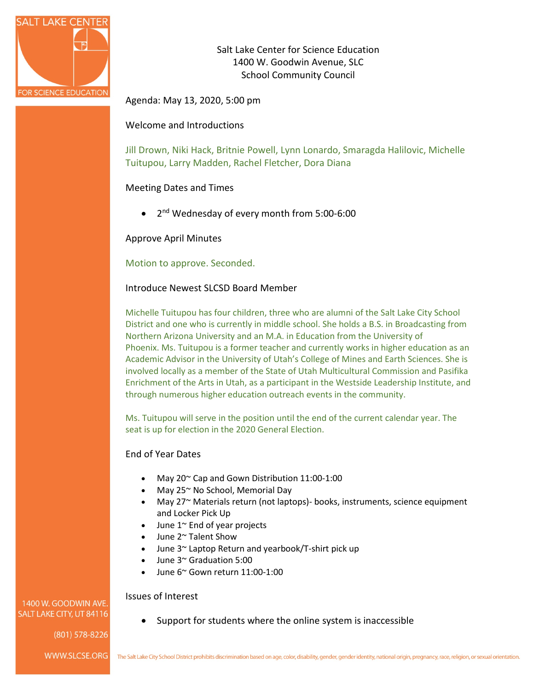

Salt Lake Center for Science Education 1400 W. Goodwin Avenue, SLC School Community Council

Agenda: May 13, 2020, 5:00 pm

Welcome and Introductions

Jill Drown, Niki Hack, Britnie Powell, Lynn Lonardo, Smaragda Halilovic, Michelle Tuitupou, Larry Madden, Rachel Fletcher, Dora Diana

# Meeting Dates and Times

• 2<sup>nd</sup> Wednesday of every month from 5:00-6:00

Approve April Minutes

#### Motion to approve. Seconded.

#### Introduce Newest SLCSD Board Member

Michelle Tuitupou has four children, three who are alumni of the Salt Lake City School District and one who is currently in middle school. She holds a B.S. in Broadcasting from Northern Arizona University and an M.A. in Education from the University of Phoenix. Ms. Tuitupou is a former teacher and currently works in higher education as an Academic Advisor in the University of Utah's College of Mines and Earth Sciences. She is involved locally as a member of the State of Utah Multicultural Commission and Pasifika Enrichment of the Arts in Utah, as a participant in the Westside Leadership Institute, and through numerous higher education outreach events in the community.

Ms. Tuitupou will serve in the position until the end of the current calendar year. The seat is up for election in the 2020 General Election.

#### End of Year Dates

- May 20~ Cap and Gown Distribution 11:00-1:00
- May 25~ No School, Memorial Day
- May 27~ Materials return (not laptops)- books, instruments, science equipment and Locker Pick Up
- June 1<sup>~</sup> End of year projects
- June 2~ Talent Show
- June 3~ Laptop Return and yearbook/T-shirt pick up
- June 3~ Graduation 5:00
- June 6~ Gown return 11:00-1:00

#### Issues of Interest

1400 W. GOODWIN AVE SALT LAKE CITY, UT 84116

(801) 578-8226

• Support for students where the online system is inaccessible

WWW.SLCSE.ORG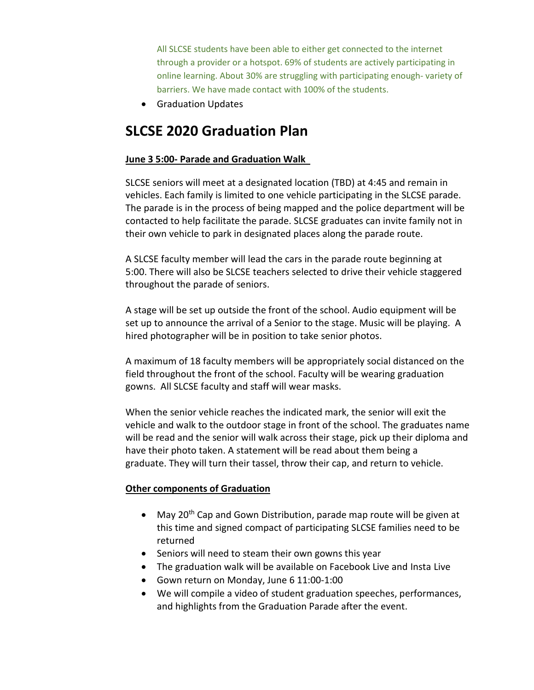All SLCSE students have been able to either get connected to the internet through a provider or a hotspot. 69% of students are actively participating in online learning. About 30% are struggling with participating enough- variety of barriers. We have made contact with 100% of the students.

• Graduation Updates

# **SLCSE 2020 Graduation Plan**

# **June 3 5:00- Parade and Graduation Walk**

SLCSE seniors will meet at a designated location (TBD) at 4:45 and remain in vehicles. Each family is limited to one vehicle participating in the SLCSE parade. The parade is in the process of being mapped and the police department will be contacted to help facilitate the parade. SLCSE graduates can invite family not in their own vehicle to park in designated places along the parade route.

A SLCSE faculty member will lead the cars in the parade route beginning at 5:00. There will also be SLCSE teachers selected to drive their vehicle staggered throughout the parade of seniors.

A stage will be set up outside the front of the school. Audio equipment will be set up to announce the arrival of a Senior to the stage. Music will be playing. A hired photographer will be in position to take senior photos.

A maximum of 18 faculty members will be appropriately social distanced on the field throughout the front of the school. Faculty will be wearing graduation gowns. All SLCSE faculty and staff will wear masks.

When the senior vehicle reaches the indicated mark, the senior will exit the vehicle and walk to the outdoor stage in front of the school. The graduates name will be read and the senior will walk across their stage, pick up their diploma and have their photo taken. A statement will be read about them being a graduate. They will turn their tassel, throw their cap, and return to vehicle.

# **Other components of Graduation**

- May 20<sup>th</sup> Cap and Gown Distribution, parade map route will be given at this time and signed compact of participating SLCSE families need to be returned
- Seniors will need to steam their own gowns this year
- The graduation walk will be available on Facebook Live and Insta Live
- Gown return on Monday, June 6 11:00-1:00
- We will compile a video of student graduation speeches, performances, and highlights from the Graduation Parade after the event.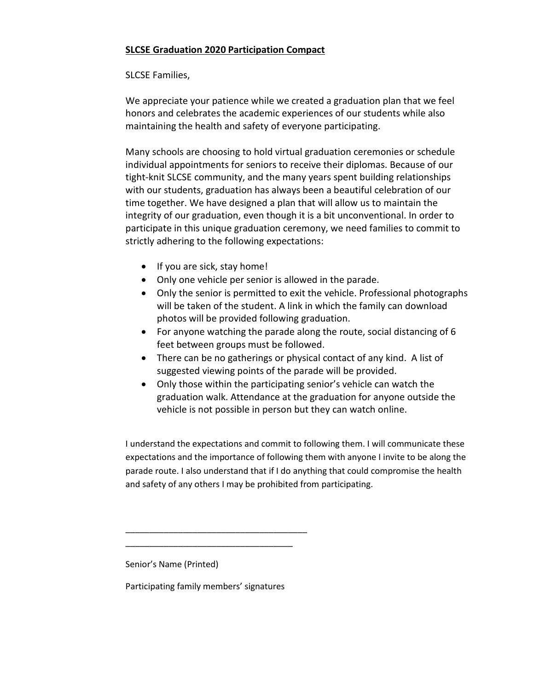# **SLCSE Graduation 2020 Participation Compact**

# SLCSE Families,

We appreciate your patience while we created a graduation plan that we feel honors and celebrates the academic experiences of our students while also maintaining the health and safety of everyone participating.

Many schools are choosing to hold virtual graduation ceremonies or schedule individual appointments for seniors to receive their diplomas. Because of our tight-knit SLCSE community, and the many years spent building relationships with our students, graduation has always been a beautiful celebration of our time together. We have designed a plan that will allow us to maintain the integrity of our graduation, even though it is a bit unconventional. In order to participate in this unique graduation ceremony, we need families to commit to strictly adhering to the following expectations:

- If you are sick, stay home!
- Only one vehicle per senior is allowed in the parade.
- Only the senior is permitted to exit the vehicle. Professional photographs will be taken of the student. A link in which the family can download photos will be provided following graduation.
- For anyone watching the parade along the route, social distancing of 6 feet between groups must be followed.
- There can be no gatherings or physical contact of any kind. A list of suggested viewing points of the parade will be provided.
- Only those within the participating senior's vehicle can watch the graduation walk. Attendance at the graduation for anyone outside the vehicle is not possible in person but they can watch online.

I understand the expectations and commit to following them. I will communicate these expectations and the importance of following them with anyone I invite to be along the parade route. I also understand that if I do anything that could compromise the health and safety of any others I may be prohibited from participating.

Senior's Name (Printed)

Participating family members' signatures

\_\_\_\_\_\_\_\_\_\_\_\_\_\_\_\_\_\_\_\_\_\_\_\_\_\_\_\_\_\_\_\_\_\_\_\_\_\_ \_\_\_\_\_\_\_\_\_\_\_\_\_\_\_\_\_\_\_\_\_\_\_\_\_\_\_\_\_\_\_\_\_\_\_